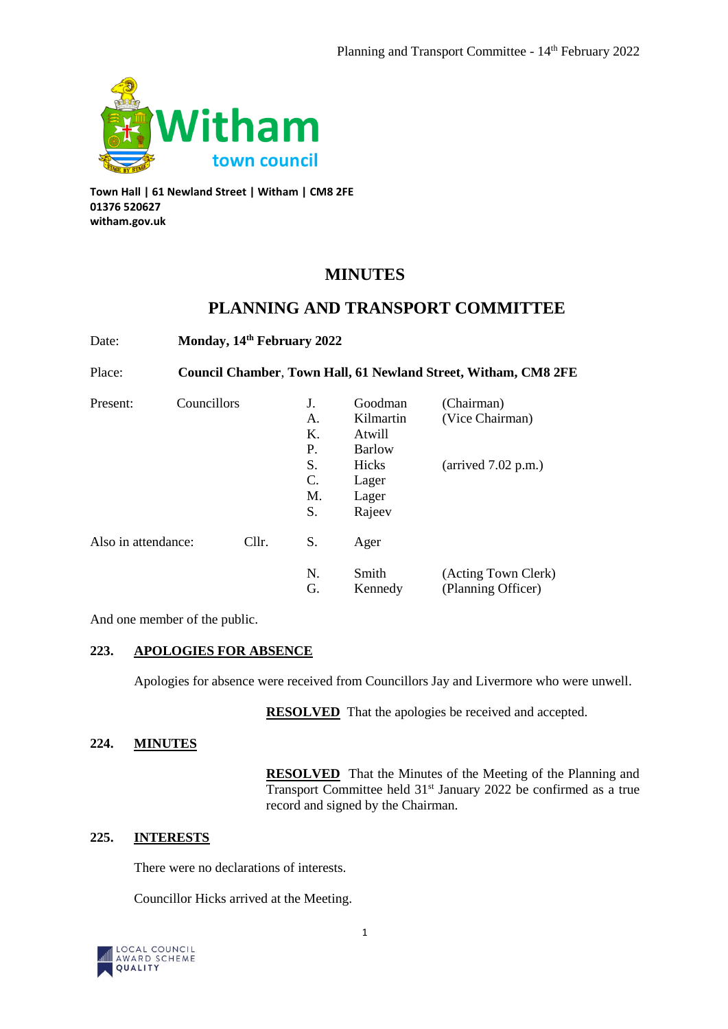

**Town Hall | 61 Newland Street | Witham | CM8 2FE 01376 520627 witham.gov.uk**

# **MINUTES**

# **PLANNING AND TRANSPORT COMMITTEE**

| Date:               | Monday, 14th February 2022<br>Council Chamber, Town Hall, 61 Newland Street, Witham, CM8 2FE |             |          |                                                                                      |                                                        |
|---------------------|----------------------------------------------------------------------------------------------|-------------|----------|--------------------------------------------------------------------------------------|--------------------------------------------------------|
| Place:              |                                                                                              |             |          |                                                                                      |                                                        |
| Present:            |                                                                                              | Councillors |          | Goodman<br>Kilmartin<br>Atwill<br><b>Barlow</b><br>Hicks<br>Lager<br>Lager<br>Rajeev | (Chairman)<br>(Vice Chairman)<br>(arrived $7.02$ p.m.) |
| Also in attendance: |                                                                                              | Cllr.       | S.       | Ager                                                                                 |                                                        |
|                     |                                                                                              |             | N.<br>G. | Smith<br>Kennedy                                                                     | (Acting Town Clerk)<br>(Planning Officer)              |

And one member of the public.

## **223. APOLOGIES FOR ABSENCE**

Apologies for absence were received from Councillors Jay and Livermore who were unwell.

**RESOLVED** That the apologies be received and accepted.

# **224. MINUTES**

**RESOLVED** That the Minutes of the Meeting of the Planning and Transport Committee held 31<sup>st</sup> January 2022 be confirmed as a true record and signed by the Chairman.

# **225. INTERESTS**

There were no declarations of interests.

Councillor Hicks arrived at the Meeting.

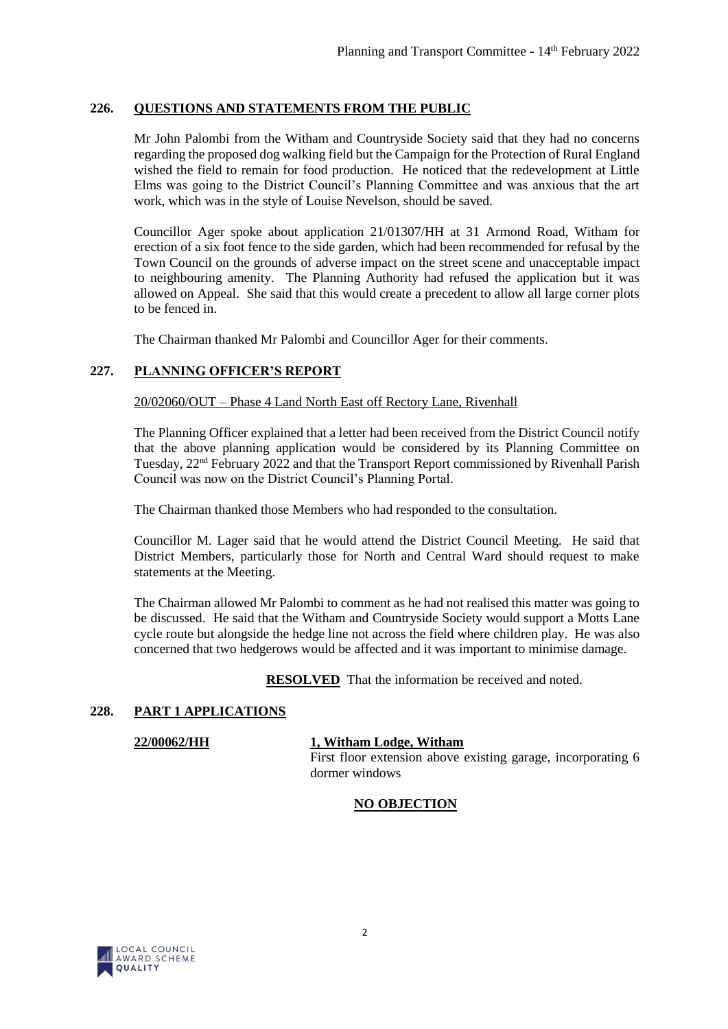## **226. QUESTIONS AND STATEMENTS FROM THE PUBLIC**

Mr John Palombi from the Witham and Countryside Society said that they had no concerns regarding the proposed dog walking field but the Campaign for the Protection of Rural England wished the field to remain for food production. He noticed that the redevelopment at Little Elms was going to the District Council's Planning Committee and was anxious that the art work, which was in the style of Louise Nevelson, should be saved.

Councillor Ager spoke about application 21/01307/HH at 31 Armond Road, Witham for erection of a six foot fence to the side garden, which had been recommended for refusal by the Town Council on the grounds of adverse impact on the street scene and unacceptable impact to neighbouring amenity. The Planning Authority had refused the application but it was allowed on Appeal. She said that this would create a precedent to allow all large corner plots to be fenced in.

The Chairman thanked Mr Palombi and Councillor Ager for their comments.

### **227. PLANNING OFFICER'S REPORT**

#### 20/02060/OUT – Phase 4 Land North East off Rectory Lane, Rivenhall

The Planning Officer explained that a letter had been received from the District Council notify that the above planning application would be considered by its Planning Committee on Tuesday, 22nd February 2022 and that the Transport Report commissioned by Rivenhall Parish Council was now on the District Council's Planning Portal.

The Chairman thanked those Members who had responded to the consultation.

Councillor M. Lager said that he would attend the District Council Meeting. He said that District Members, particularly those for North and Central Ward should request to make statements at the Meeting.

The Chairman allowed Mr Palombi to comment as he had not realised this matter was going to be discussed. He said that the Witham and Countryside Society would support a Motts Lane cycle route but alongside the hedge line not across the field where children play. He was also concerned that two hedgerows would be affected and it was important to minimise damage.

**RESOLVED** That the information be received and noted.

#### **228. PART 1 APPLICATIONS**

#### **22/00062/HH 1, Witham Lodge, Witham**

First floor extension above existing garage, incorporating 6 dormer windows

#### **NO OBJECTION**